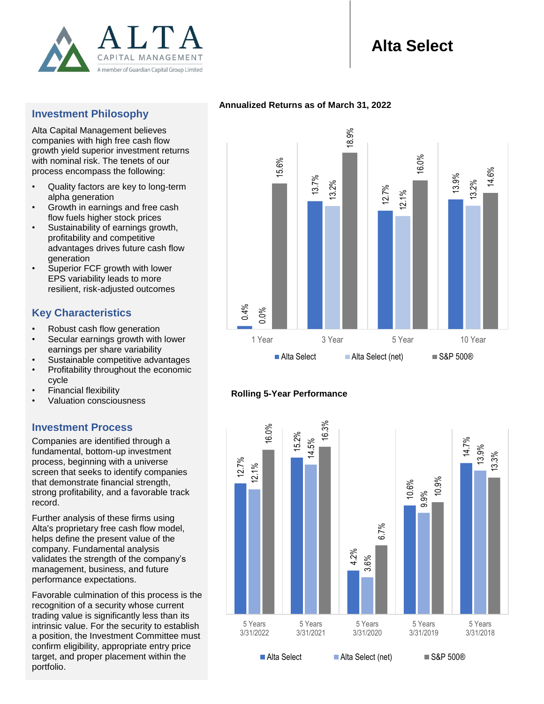

# **Alta Select**

# **Investment Philosophy**

Alta Capital Management believes companies with high free cash flow growth yield superior investment returns with nominal risk. The tenets of our process encompass the following:

- Quality factors are key to long-term alpha generation
- Growth in earnings and free cash flow fuels higher stock prices
- Sustainability of earnings growth, profitability and competitive advantages drives future cash flow generation
- Superior FCF growth with lower EPS variability leads to more resilient, risk-adjusted outcomes

# **Key Characteristics**

- Robust cash flow generation
- Secular earnings growth with lower earnings per share variability
- Sustainable competitive advantages
- Profitability throughout the economic cycle
- Financial flexibility
- Valuation consciousness

## **Investment Process**

Companies are identified through a fundamental, bottom-up investment process, beginning with a universe screen that seeks to identify companies that demonstrate financial strength, strong profitability, and a favorable track record.

Further analysis of these firms using Alta's proprietary free cash flow model, helps define the present value of the company. Fundamental analysis validates the strength of the company's management, business, and future performance expectations.

Favorable culmination of this process is the recognition of a security whose current trading value is significantly less than its intrinsic value. For the security to establish a position, the Investment Committee must confirm eligibility, appropriate entry price target, and proper placement within the portfolio.

### **Annualized Returns as of March 31, 2022**